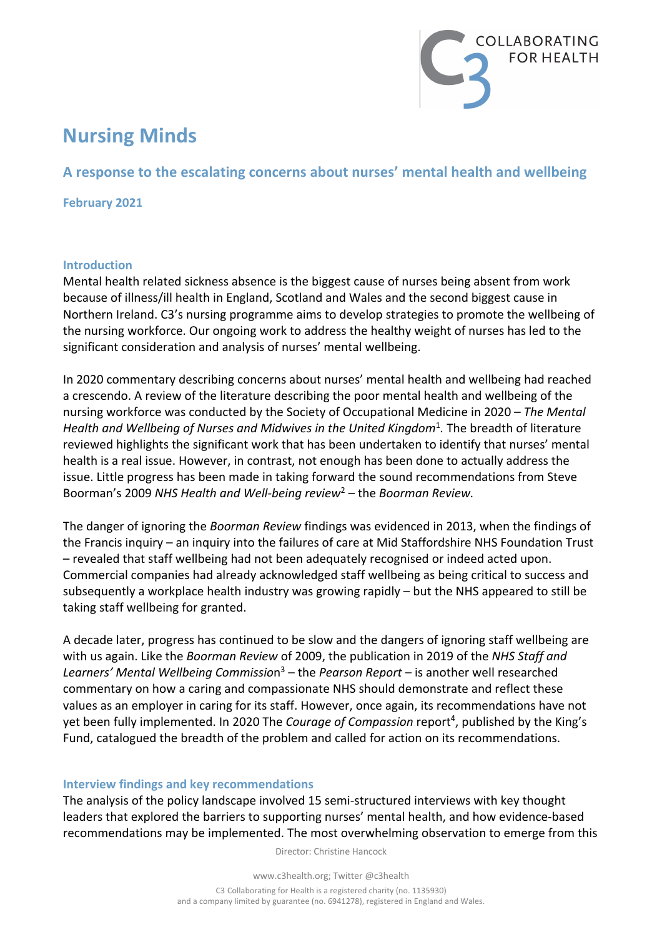

# **Nursing Minds**

# **A response to the escalating concerns about nurses' mental health and wellbeing**

**February 2021**

#### **Introduction**

Mental health related sickness absence is the biggest cause of nurses being absent from work because of illness/ill health in England, Scotland and Wales and the second biggest cause in Northern Ireland. C3's nursing programme aims to develop strategies to promote the wellbeing of the nursing workforce. Our ongoing work to address the healthy weight of nurses has led to the significant consideration and analysis of nurses' mental wellbeing.

In 2020 commentary describing concerns about nurses' mental health and wellbeing had reached a crescendo. A review of the literature describing the poor mental health and wellbeing of the nursing workforce was conducted by the Society of Occupational Medicine in 2020 *– The Mental*  Health and Wellbeing of Nurses and Midwives in the United Kingdom<sup>1</sup>. The breadth of literature reviewed highlights the significant work that has been undertaken to identify that nurses' mental health is a real issue. However, in contrast, not enough has been done to actually address the issue. Little progress has been made in taking forward the sound recommendations from Steve Boorman's 2009 *NHS Health and Well-being review*<sup>2</sup> – the *Boorman Review.*

The danger of ignoring the *Boorman Review* findings was evidenced in 2013, when the findings of the Francis inquiry – an inquiry into the failures of care at Mid Staffordshire NHS Foundation Trust – revealed that staff wellbeing had not been adequately recognised or indeed acted upon. Commercial companies had already acknowledged staff wellbeing as being critical to success and subsequently a workplace health industry was growing rapidly – but the NHS appeared to still be taking staff wellbeing for granted.

A decade later, progress has continued to be slow and the dangers of ignoring staff wellbeing are with us again. Like the *Boorman Review* of 2009, the publication in 2019 of the *NHS Staff and Learners' Mental Wellbeing Commissio*n3 – the *Pearson Report* – is another well researched commentary on how a caring and compassionate NHS should demonstrate and reflect these values as an employer in caring for its staff. However, once again, its recommendations have not yet been fully implemented. In 2020 The *Courage of Compassion* report<sup>4</sup>, published by the King's Fund, catalogued the breadth of the problem and called for action on its recommendations.

#### **Interview findings and key recommendations**

The analysis of the policy landscape involved 15 semi-structured interviews with key thought leaders that explored the barriers to supporting nurses' mental health, and how evidence-based recommendations may be implemented. The most overwhelming observation to emerge from this

Director: Christine Hancock

www.c3health.org; Twitter @c3health

C3 Collaborating for Health is a registered charity (no. 1135930) and a company limited by guarantee (no. 6941278), registered in England and Wales.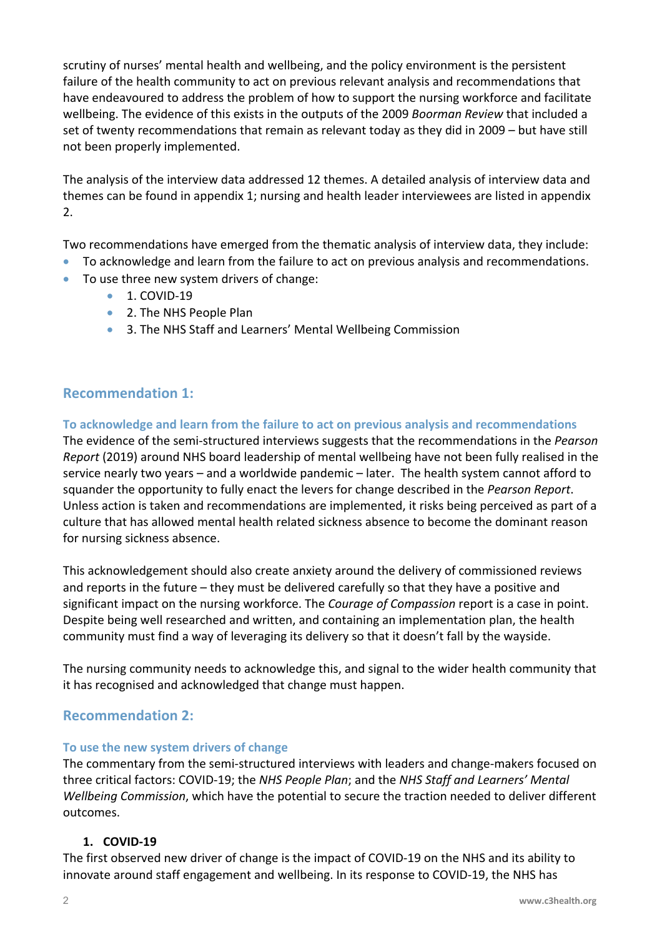scrutiny of nurses' mental health and wellbeing, and the policy environment is the persistent failure of the health community to act on previous relevant analysis and recommendations that have endeavoured to address the problem of how to support the nursing workforce and facilitate wellbeing. The evidence of this exists in the outputs of the 2009 *Boorman Review* that included a set of twenty recommendations that remain as relevant today as they did in 2009 – but have still not been properly implemented.

The analysis of the interview data addressed 12 themes. A detailed analysis of interview data and themes can be found in appendix 1; nursing and health leader interviewees are listed in appendix 2.

Two recommendations have emerged from the thematic analysis of interview data, they include:

- To acknowledge and learn from the failure to act on previous analysis and recommendations.
- To use three new system drivers of change:
	- 1. COVID-19
	- 2. The NHS People Plan
	- 3. The NHS Staff and Learners' Mental Wellbeing Commission

# **Recommendation 1:**

**To acknowledge and learn from the failure to act on previous analysis and recommendations**  The evidence of the semi-structured interviews suggests that the recommendations in the *Pearson Report* (2019) around NHS board leadership of mental wellbeing have not been fully realised in the service nearly two years – and a worldwide pandemic – later. The health system cannot afford to squander the opportunity to fully enact the levers for change described in the *Pearson Report*. Unless action is taken and recommendations are implemented, it risks being perceived as part of a culture that has allowed mental health related sickness absence to become the dominant reason for nursing sickness absence.

This acknowledgement should also create anxiety around the delivery of commissioned reviews and reports in the future – they must be delivered carefully so that they have a positive and significant impact on the nursing workforce. The *Courage of Compassion* report is a case in point. Despite being well researched and written, and containing an implementation plan, the health community must find a way of leveraging its delivery so that it doesn't fall by the wayside.

The nursing community needs to acknowledge this, and signal to the wider health community that it has recognised and acknowledged that change must happen.

# **Recommendation 2:**

## **To use the new system drivers of change**

The commentary from the semi-structured interviews with leaders and change-makers focused on three critical factors: COVID-19; the *NHS People Plan*; and the *NHS Staff and Learners' Mental Wellbeing Commission*, which have the potential to secure the traction needed to deliver different outcomes.

## **1. COVID-19**

The first observed new driver of change is the impact of COVID-19 on the NHS and its ability to innovate around staff engagement and wellbeing. In its response to COVID-19, the NHS has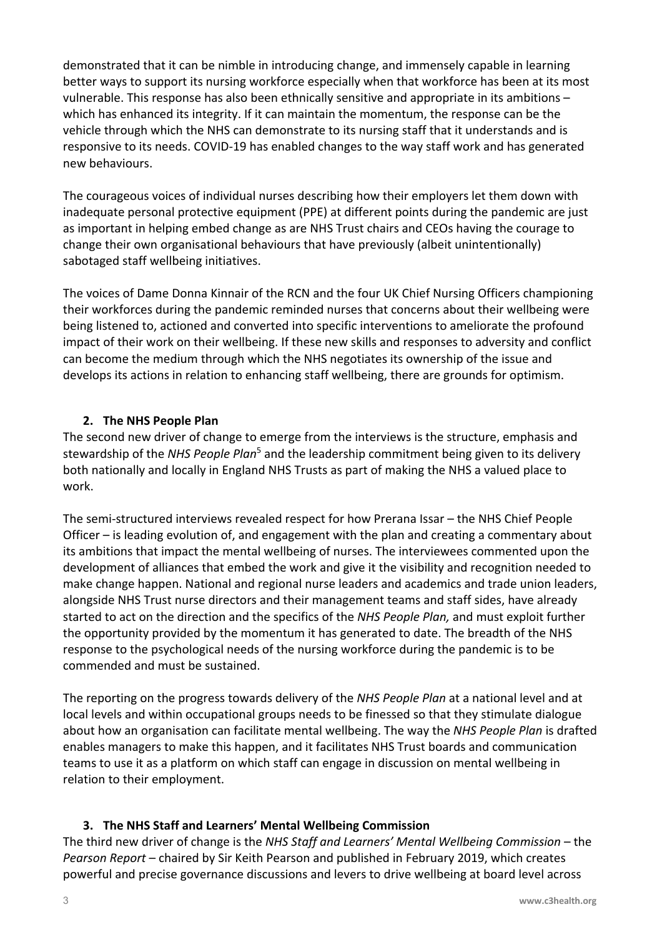demonstrated that it can be nimble in introducing change, and immensely capable in learning better ways to support its nursing workforce especially when that workforce has been at its most vulnerable. This response has also been ethnically sensitive and appropriate in its ambitions – which has enhanced its integrity. If it can maintain the momentum, the response can be the vehicle through which the NHS can demonstrate to its nursing staff that it understands and is responsive to its needs. COVID-19 has enabled changes to the way staff work and has generated new behaviours.

The courageous voices of individual nurses describing how their employers let them down with inadequate personal protective equipment (PPE) at different points during the pandemic are just as important in helping embed change as are NHS Trust chairs and CEOs having the courage to change their own organisational behaviours that have previously (albeit unintentionally) sabotaged staff wellbeing initiatives.

The voices of Dame Donna Kinnair of the RCN and the four UK Chief Nursing Officers championing their workforces during the pandemic reminded nurses that concerns about their wellbeing were being listened to, actioned and converted into specific interventions to ameliorate the profound impact of their work on their wellbeing. If these new skills and responses to adversity and conflict can become the medium through which the NHS negotiates its ownership of the issue and develops its actions in relation to enhancing staff wellbeing, there are grounds for optimism.

# **2. The NHS People Plan**

The second new driver of change to emerge from the interviews is the structure, emphasis and stewardship of the *NHS People Plan*<sup>5</sup> and the leadership commitment being given to its delivery both nationally and locally in England NHS Trusts as part of making the NHS a valued place to work.

The semi-structured interviews revealed respect for how Prerana Issar – the NHS Chief People Officer – is leading evolution of, and engagement with the plan and creating a commentary about its ambitions that impact the mental wellbeing of nurses. The interviewees commented upon the development of alliances that embed the work and give it the visibility and recognition needed to make change happen. National and regional nurse leaders and academics and trade union leaders, alongside NHS Trust nurse directors and their management teams and staff sides, have already started to act on the direction and the specifics of the *NHS People Plan,* and must exploit further the opportunity provided by the momentum it has generated to date. The breadth of the NHS response to the psychological needs of the nursing workforce during the pandemic is to be commended and must be sustained.

The reporting on the progress towards delivery of the *NHS People Plan* at a national level and at local levels and within occupational groups needs to be finessed so that they stimulate dialogue about how an organisation can facilitate mental wellbeing. The way the *NHS People Plan* is drafted enables managers to make this happen, and it facilitates NHS Trust boards and communication teams to use it as a platform on which staff can engage in discussion on mental wellbeing in relation to their employment.

## **3. The NHS Staff and Learners' Mental Wellbeing Commission**

The third new driver of change is the *NHS Staff and Learners' Mental Wellbeing Commission* – the *Pearson Report* – chaired by Sir Keith Pearson and published in February 2019, which creates powerful and precise governance discussions and levers to drive wellbeing at board level across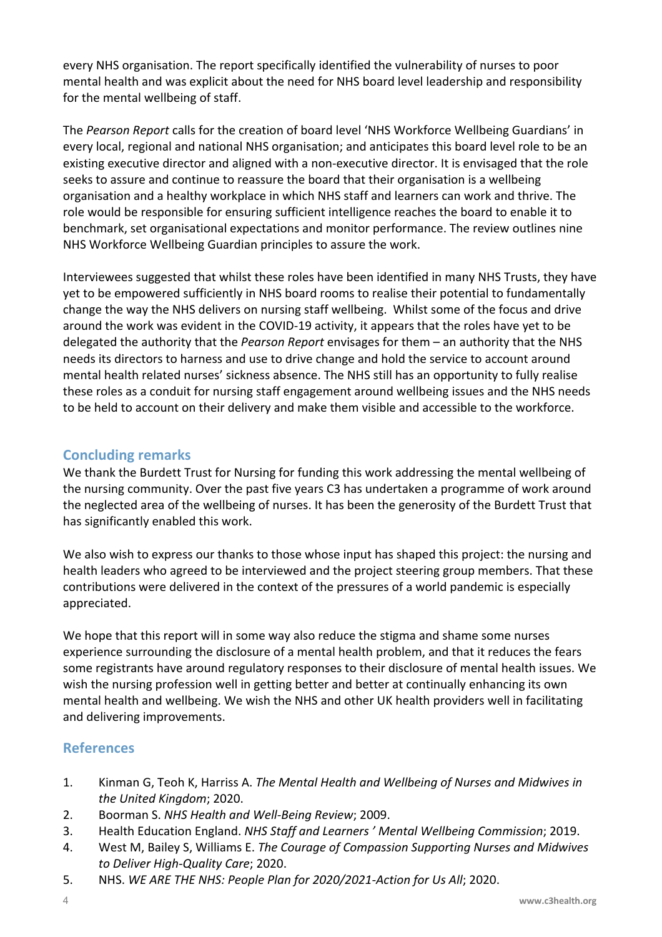every NHS organisation. The report specifically identified the vulnerability of nurses to poor mental health and was explicit about the need for NHS board level leadership and responsibility for the mental wellbeing of staff.

The *Pearson Report* calls for the creation of board level 'NHS Workforce Wellbeing Guardians' in every local, regional and national NHS organisation; and anticipates this board level role to be an existing executive director and aligned with a non-executive director. It is envisaged that the role seeks to assure and continue to reassure the board that their organisation is a wellbeing organisation and a healthy workplace in which NHS staff and learners can work and thrive. The role would be responsible for ensuring sufficient intelligence reaches the board to enable it to benchmark, set organisational expectations and monitor performance. The review outlines nine NHS Workforce Wellbeing Guardian principles to assure the work.

Interviewees suggested that whilst these roles have been identified in many NHS Trusts, they have yet to be empowered sufficiently in NHS board rooms to realise their potential to fundamentally change the way the NHS delivers on nursing staff wellbeing. Whilst some of the focus and drive around the work was evident in the COVID-19 activity, it appears that the roles have yet to be delegated the authority that the *Pearson Report* envisages for them – an authority that the NHS needs its directors to harness and use to drive change and hold the service to account around mental health related nurses' sickness absence. The NHS still has an opportunity to fully realise these roles as a conduit for nursing staff engagement around wellbeing issues and the NHS needs to be held to account on their delivery and make them visible and accessible to the workforce.

# **Concluding remarks**

We thank the Burdett Trust for Nursing for funding this work addressing the mental wellbeing of the nursing community. Over the past five years C3 has undertaken a programme of work around the neglected area of the wellbeing of nurses. It has been the generosity of the Burdett Trust that has significantly enabled this work.

We also wish to express our thanks to those whose input has shaped this project: the nursing and health leaders who agreed to be interviewed and the project steering group members. That these contributions were delivered in the context of the pressures of a world pandemic is especially appreciated.

We hope that this report will in some way also reduce the stigma and shame some nurses experience surrounding the disclosure of a mental health problem, and that it reduces the fears some registrants have around regulatory responses to their disclosure of mental health issues. We wish the nursing profession well in getting better and better at continually enhancing its own mental health and wellbeing. We wish the NHS and other UK health providers well in facilitating and delivering improvements.

# **References**

- 1. Kinman G, Teoh K, Harriss A. *The Mental Health and Wellbeing of Nurses and Midwives in the United Kingdom*; 2020.
- 2. Boorman S. *NHS Health and Well-Being Review*; 2009.
- 3. Health Education England. *NHS Staff and Learners ' Mental Wellbeing Commission*; 2019.
- 4. West M, Bailey S, Williams E. *The Courage of Compassion Supporting Nurses and Midwives to Deliver High-Quality Care*; 2020.
- 5. NHS. *WE ARE THE NHS: People Plan for 2020/2021-Action for Us All*; 2020.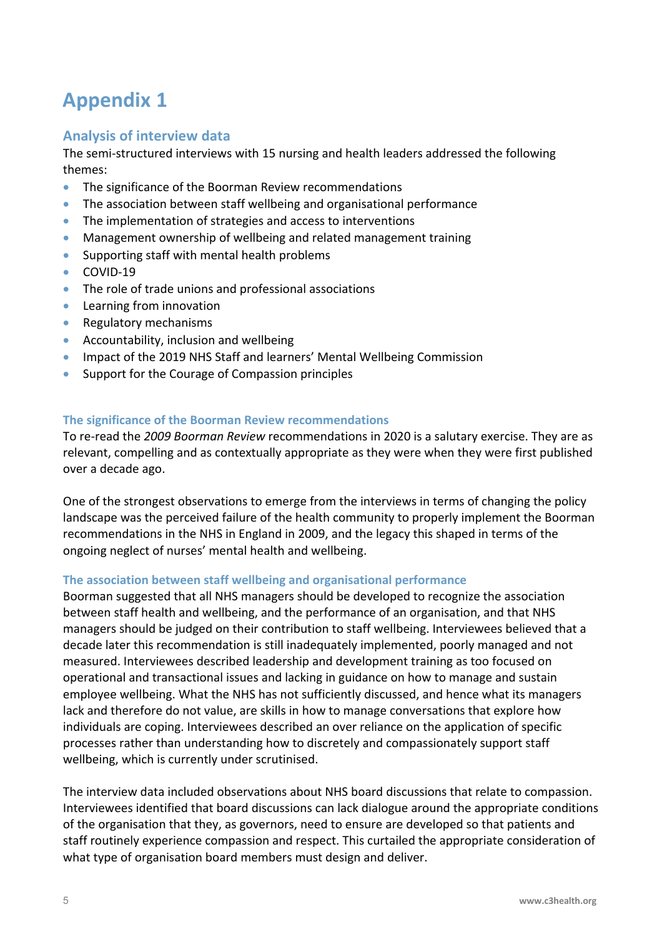# **Appendix 1**

# **Analysis of interview data**

The semi-structured interviews with 15 nursing and health leaders addressed the following themes:

- The significance of the Boorman Review recommendations
- The association between staff wellbeing and organisational performance
- The implementation of strategies and access to interventions
- Management ownership of wellbeing and related management training
- Supporting staff with mental health problems
- COVID-19
- The role of trade unions and professional associations
- Learning from innovation
- Regulatory mechanisms
- Accountability, inclusion and wellbeing
- Impact of the 2019 NHS Staff and learners' Mental Wellbeing Commission
- Support for the Courage of Compassion principles

#### **The significance of the Boorman Review recommendations**

To re-read the *2009 Boorman Review* recommendations in 2020 is a salutary exercise. They are as relevant, compelling and as contextually appropriate as they were when they were first published over a decade ago.

One of the strongest observations to emerge from the interviews in terms of changing the policy landscape was the perceived failure of the health community to properly implement the Boorman recommendations in the NHS in England in 2009, and the legacy this shaped in terms of the ongoing neglect of nurses' mental health and wellbeing.

#### **The association between staff wellbeing and organisational performance**

Boorman suggested that all NHS managers should be developed to recognize the association between staff health and wellbeing, and the performance of an organisation, and that NHS managers should be judged on their contribution to staff wellbeing. Interviewees believed that a decade later this recommendation is still inadequately implemented, poorly managed and not measured. Interviewees described leadership and development training as too focused on operational and transactional issues and lacking in guidance on how to manage and sustain employee wellbeing. What the NHS has not sufficiently discussed, and hence what its managers lack and therefore do not value, are skills in how to manage conversations that explore how individuals are coping. Interviewees described an over reliance on the application of specific processes rather than understanding how to discretely and compassionately support staff wellbeing, which is currently under scrutinised.

The interview data included observations about NHS board discussions that relate to compassion. Interviewees identified that board discussions can lack dialogue around the appropriate conditions of the organisation that they, as governors, need to ensure are developed so that patients and staff routinely experience compassion and respect. This curtailed the appropriate consideration of what type of organisation board members must design and deliver.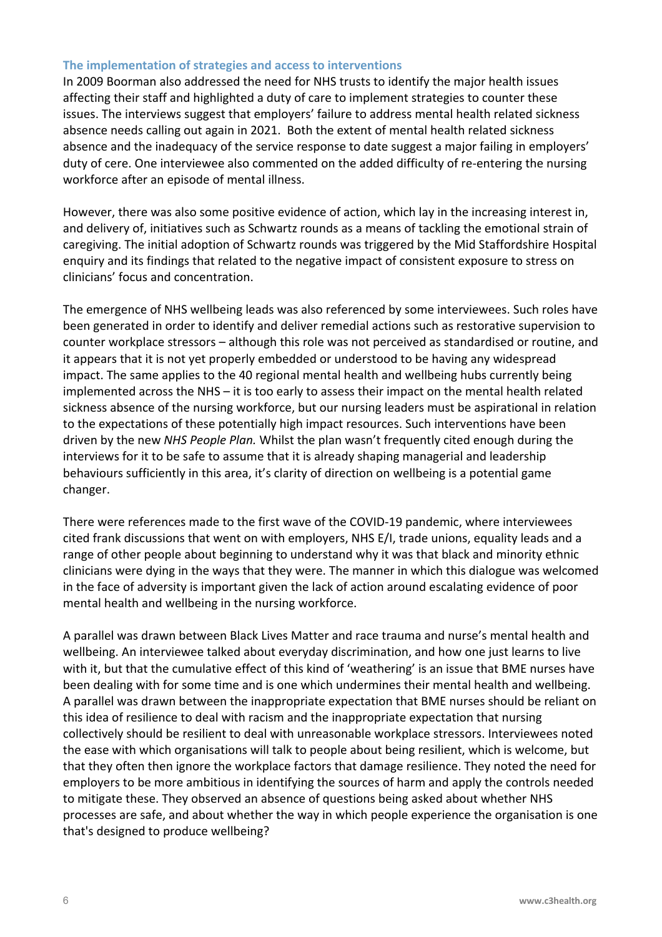#### **The implementation of strategies and access to interventions**

In 2009 Boorman also addressed the need for NHS trusts to identify the major health issues affecting their staff and highlighted a duty of care to implement strategies to counter these issues. The interviews suggest that employers' failure to address mental health related sickness absence needs calling out again in 2021. Both the extent of mental health related sickness absence and the inadequacy of the service response to date suggest a major failing in employers' duty of cere. One interviewee also commented on the added difficulty of re-entering the nursing workforce after an episode of mental illness.

However, there was also some positive evidence of action, which lay in the increasing interest in, and delivery of, initiatives such as Schwartz rounds as a means of tackling the emotional strain of caregiving. The initial adoption of Schwartz rounds was triggered by the Mid Staffordshire Hospital enquiry and its findings that related to the negative impact of consistent exposure to stress on clinicians' focus and concentration.

The emergence of NHS wellbeing leads was also referenced by some interviewees. Such roles have been generated in order to identify and deliver remedial actions such as restorative supervision to counter workplace stressors – although this role was not perceived as standardised or routine, and it appears that it is not yet properly embedded or understood to be having any widespread impact. The same applies to the 40 regional mental health and wellbeing hubs currently being implemented across the NHS – it is too early to assess their impact on the mental health related sickness absence of the nursing workforce, but our nursing leaders must be aspirational in relation to the expectations of these potentially high impact resources. Such interventions have been driven by the new *NHS People Plan.* Whilst the plan wasn't frequently cited enough during the interviews for it to be safe to assume that it is already shaping managerial and leadership behaviours sufficiently in this area, it's clarity of direction on wellbeing is a potential game changer.

There were references made to the first wave of the COVID-19 pandemic, where interviewees cited frank discussions that went on with employers, NHS E/I, trade unions, equality leads and a range of other people about beginning to understand why it was that black and minority ethnic clinicians were dying in the ways that they were. The manner in which this dialogue was welcomed in the face of adversity is important given the lack of action around escalating evidence of poor mental health and wellbeing in the nursing workforce.

A parallel was drawn between Black Lives Matter and race trauma and nurse's mental health and wellbeing. An interviewee talked about everyday discrimination, and how one just learns to live with it, but that the cumulative effect of this kind of 'weathering' is an issue that BME nurses have been dealing with for some time and is one which undermines their mental health and wellbeing. A parallel was drawn between the inappropriate expectation that BME nurses should be reliant on this idea of resilience to deal with racism and the inappropriate expectation that nursing collectively should be resilient to deal with unreasonable workplace stressors. Interviewees noted the ease with which organisations will talk to people about being resilient, which is welcome, but that they often then ignore the workplace factors that damage resilience. They noted the need for employers to be more ambitious in identifying the sources of harm and apply the controls needed to mitigate these. They observed an absence of questions being asked about whether NHS processes are safe, and about whether the way in which people experience the organisation is one that's designed to produce wellbeing?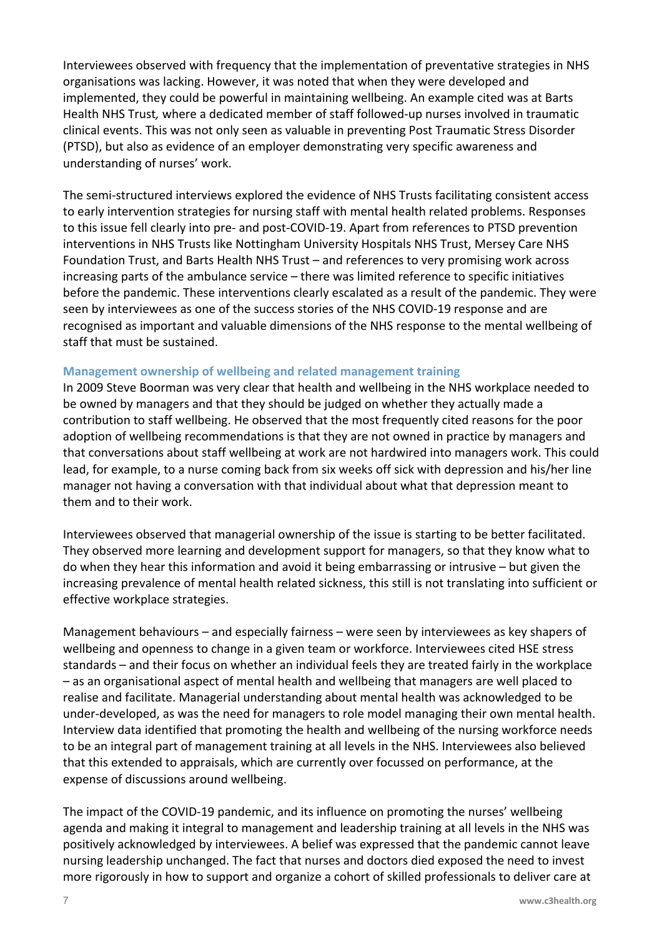Interviewees observed with frequency that the implementation of preventative strategies in NHS organisations was lacking. However, it was noted that when they were developed and implemented, they could be powerful in maintaining wellbeing. An example cited was at Barts Health NHS Trust*,* where a dedicated member of staff followed-up nurses involved in traumatic clinical events. This was not only seen as valuable in preventing Post Traumatic Stress Disorder (PTSD), but also as evidence of an employer demonstrating very specific awareness and understanding of nurses' work.

The semi-structured interviews explored the evidence of NHS Trusts facilitating consistent access to early intervention strategies for nursing staff with mental health related problems. Responses to this issue fell clearly into pre- and post-COVID-19. Apart from references to PTSD prevention interventions in NHS Trusts like Nottingham University Hospitals NHS Trust, Mersey Care NHS Foundation Trust, and Barts Health NHS Trust – and references to very promising work across increasing parts of the ambulance service – there was limited reference to specific initiatives before the pandemic. These interventions clearly escalated as a result of the pandemic. They were seen by interviewees as one of the success stories of the NHS COVID-19 response and are recognised as important and valuable dimensions of the NHS response to the mental wellbeing of staff that must be sustained.

#### **Management ownership of wellbeing and related management training**

In 2009 Steve Boorman was very clear that health and wellbeing in the NHS workplace needed to be owned by managers and that they should be judged on whether they actually made a contribution to staff wellbeing. He observed that the most frequently cited reasons for the poor adoption of wellbeing recommendations is that they are not owned in practice by managers and that conversations about staff wellbeing at work are not hardwired into managers work. This could lead, for example, to a nurse coming back from six weeks off sick with depression and his/her line manager not having a conversation with that individual about what that depression meant to them and to their work.

Interviewees observed that managerial ownership of the issue is starting to be better facilitated. They observed more learning and development support for managers, so that they know what to do when they hear this information and avoid it being embarrassing or intrusive – but given the increasing prevalence of mental health related sickness, this still is not translating into sufficient or effective workplace strategies.

Management behaviours – and especially fairness – were seen by interviewees as key shapers of wellbeing and openness to change in a given team or workforce. Interviewees cited HSE stress standards – and their focus on whether an individual feels they are treated fairly in the workplace – as an organisational aspect of mental health and wellbeing that managers are well placed to realise and facilitate. Managerial understanding about mental health was acknowledged to be under-developed, as was the need for managers to role model managing their own mental health. Interview data identified that promoting the health and wellbeing of the nursing workforce needs to be an integral part of management training at all levels in the NHS. Interviewees also believed that this extended to appraisals, which are currently over focussed on performance, at the expense of discussions around wellbeing.

The impact of the COVID-19 pandemic, and its influence on promoting the nurses' wellbeing agenda and making it integral to management and leadership training at all levels in the NHS was positively acknowledged by interviewees. A belief was expressed that the pandemic cannot leave nursing leadership unchanged. The fact that nurses and doctors died exposed the need to invest more rigorously in how to support and organize a cohort of skilled professionals to deliver care at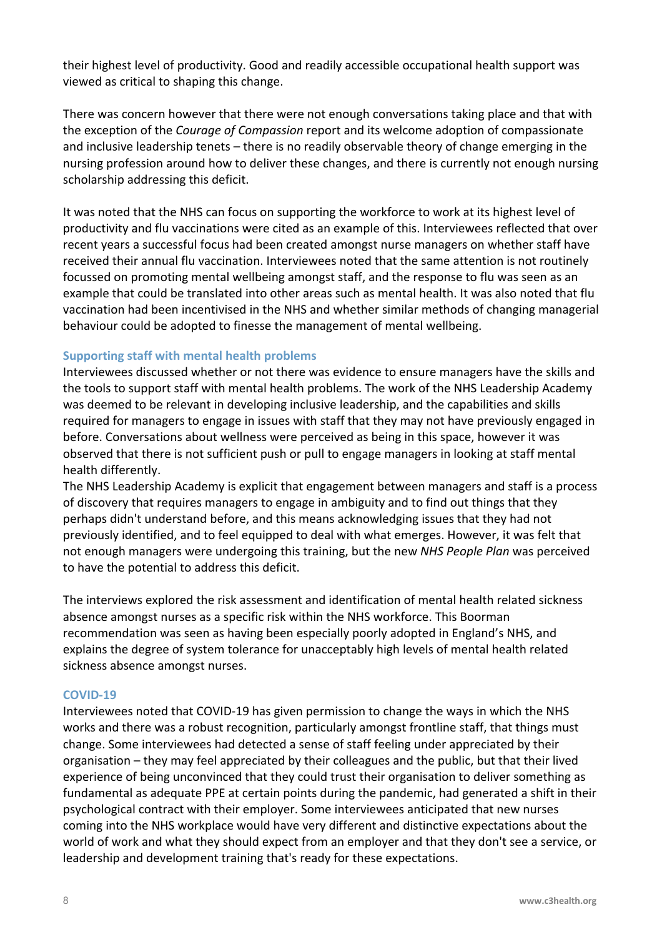their highest level of productivity. Good and readily accessible occupational health support was viewed as critical to shaping this change.

There was concern however that there were not enough conversations taking place and that with the exception of the *Courage of Compassion* report and its welcome adoption of compassionate and inclusive leadership tenets – there is no readily observable theory of change emerging in the nursing profession around how to deliver these changes, and there is currently not enough nursing scholarship addressing this deficit.

It was noted that the NHS can focus on supporting the workforce to work at its highest level of productivity and flu vaccinations were cited as an example of this. Interviewees reflected that over recent years a successful focus had been created amongst nurse managers on whether staff have received their annual flu vaccination. Interviewees noted that the same attention is not routinely focussed on promoting mental wellbeing amongst staff, and the response to flu was seen as an example that could be translated into other areas such as mental health. It was also noted that flu vaccination had been incentivised in the NHS and whether similar methods of changing managerial behaviour could be adopted to finesse the management of mental wellbeing.

#### **Supporting staff with mental health problems**

Interviewees discussed whether or not there was evidence to ensure managers have the skills and the tools to support staff with mental health problems. The work of the NHS Leadership Academy was deemed to be relevant in developing inclusive leadership, and the capabilities and skills required for managers to engage in issues with staff that they may not have previously engaged in before. Conversations about wellness were perceived as being in this space, however it was observed that there is not sufficient push or pull to engage managers in looking at staff mental health differently.

The NHS Leadership Academy is explicit that engagement between managers and staff is a process of discovery that requires managers to engage in ambiguity and to find out things that they perhaps didn't understand before, and this means acknowledging issues that they had not previously identified, and to feel equipped to deal with what emerges. However, it was felt that not enough managers were undergoing this training, but the new *NHS People Plan* was perceived to have the potential to address this deficit.

The interviews explored the risk assessment and identification of mental health related sickness absence amongst nurses as a specific risk within the NHS workforce. This Boorman recommendation was seen as having been especially poorly adopted in England's NHS, and explains the degree of system tolerance for unacceptably high levels of mental health related sickness absence amongst nurses.

#### **COVID-19**

Interviewees noted that COVID-19 has given permission to change the ways in which the NHS works and there was a robust recognition, particularly amongst frontline staff, that things must change. Some interviewees had detected a sense of staff feeling under appreciated by their organisation – they may feel appreciated by their colleagues and the public, but that their lived experience of being unconvinced that they could trust their organisation to deliver something as fundamental as adequate PPE at certain points during the pandemic, had generated a shift in their psychological contract with their employer. Some interviewees anticipated that new nurses coming into the NHS workplace would have very different and distinctive expectations about the world of work and what they should expect from an employer and that they don't see a service, or leadership and development training that's ready for these expectations.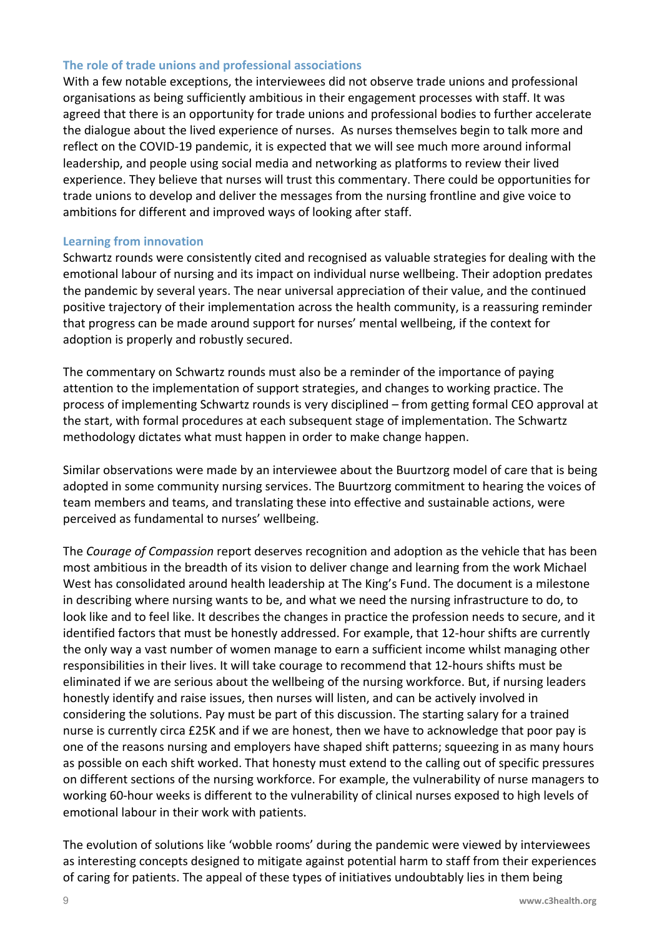#### **The role of trade unions and professional associations**

With a few notable exceptions, the interviewees did not observe trade unions and professional organisations as being sufficiently ambitious in their engagement processes with staff. It was agreed that there is an opportunity for trade unions and professional bodies to further accelerate the dialogue about the lived experience of nurses. As nurses themselves begin to talk more and reflect on the COVID-19 pandemic, it is expected that we will see much more around informal leadership, and people using social media and networking as platforms to review their lived experience. They believe that nurses will trust this commentary. There could be opportunities for trade unions to develop and deliver the messages from the nursing frontline and give voice to ambitions for different and improved ways of looking after staff.

#### **Learning from innovation**

Schwartz rounds were consistently cited and recognised as valuable strategies for dealing with the emotional labour of nursing and its impact on individual nurse wellbeing. Their adoption predates the pandemic by several years. The near universal appreciation of their value, and the continued positive trajectory of their implementation across the health community, is a reassuring reminder that progress can be made around support for nurses' mental wellbeing, if the context for adoption is properly and robustly secured.

The commentary on Schwartz rounds must also be a reminder of the importance of paying attention to the implementation of support strategies, and changes to working practice. The process of implementing Schwartz rounds is very disciplined – from getting formal CEO approval at the start, with formal procedures at each subsequent stage of implementation. The Schwartz methodology dictates what must happen in order to make change happen.

Similar observations were made by an interviewee about the Buurtzorg model of care that is being adopted in some community nursing services. The Buurtzorg commitment to hearing the voices of team members and teams, and translating these into effective and sustainable actions, were perceived as fundamental to nurses' wellbeing.

The *Courage of Compassion* report deserves recognition and adoption as the vehicle that has been most ambitious in the breadth of its vision to deliver change and learning from the work Michael West has consolidated around health leadership at The King's Fund. The document is a milestone in describing where nursing wants to be, and what we need the nursing infrastructure to do, to look like and to feel like. It describes the changes in practice the profession needs to secure, and it identified factors that must be honestly addressed. For example, that 12-hour shifts are currently the only way a vast number of women manage to earn a sufficient income whilst managing other responsibilities in their lives. It will take courage to recommend that 12-hours shifts must be eliminated if we are serious about the wellbeing of the nursing workforce. But, if nursing leaders honestly identify and raise issues, then nurses will listen, and can be actively involved in considering the solutions. Pay must be part of this discussion. The starting salary for a trained nurse is currently circa £25K and if we are honest, then we have to acknowledge that poor pay is one of the reasons nursing and employers have shaped shift patterns; squeezing in as many hours as possible on each shift worked. That honesty must extend to the calling out of specific pressures on different sections of the nursing workforce. For example, the vulnerability of nurse managers to working 60-hour weeks is different to the vulnerability of clinical nurses exposed to high levels of emotional labour in their work with patients.

The evolution of solutions like 'wobble rooms' during the pandemic were viewed by interviewees as interesting concepts designed to mitigate against potential harm to staff from their experiences of caring for patients. The appeal of these types of initiatives undoubtably lies in them being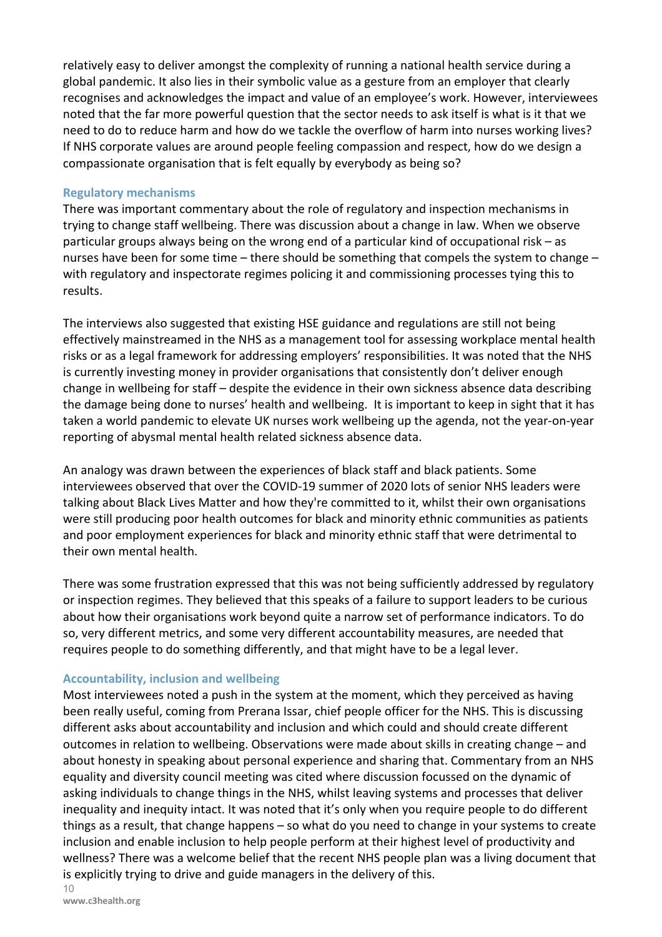relatively easy to deliver amongst the complexity of running a national health service during a global pandemic. It also lies in their symbolic value as a gesture from an employer that clearly recognises and acknowledges the impact and value of an employee's work. However, interviewees noted that the far more powerful question that the sector needs to ask itself is what is it that we need to do to reduce harm and how do we tackle the overflow of harm into nurses working lives? If NHS corporate values are around people feeling compassion and respect, how do we design a compassionate organisation that is felt equally by everybody as being so?

#### **Regulatory mechanisms**

There was important commentary about the role of regulatory and inspection mechanisms in trying to change staff wellbeing. There was discussion about a change in law. When we observe particular groups always being on the wrong end of a particular kind of occupational risk – as nurses have been for some time – there should be something that compels the system to change – with regulatory and inspectorate regimes policing it and commissioning processes tying this to results.

The interviews also suggested that existing HSE guidance and regulations are still not being effectively mainstreamed in the NHS as a management tool for assessing workplace mental health risks or as a legal framework for addressing employers' responsibilities. It was noted that the NHS is currently investing money in provider organisations that consistently don't deliver enough change in wellbeing for staff – despite the evidence in their own sickness absence data describing the damage being done to nurses' health and wellbeing. It is important to keep in sight that it has taken a world pandemic to elevate UK nurses work wellbeing up the agenda, not the year-on-year reporting of abysmal mental health related sickness absence data.

An analogy was drawn between the experiences of black staff and black patients. Some interviewees observed that over the COVID-19 summer of 2020 lots of senior NHS leaders were talking about Black Lives Matter and how they're committed to it, whilst their own organisations were still producing poor health outcomes for black and minority ethnic communities as patients and poor employment experiences for black and minority ethnic staff that were detrimental to their own mental health.

There was some frustration expressed that this was not being sufficiently addressed by regulatory or inspection regimes. They believed that this speaks of a failure to support leaders to be curious about how their organisations work beyond quite a narrow set of performance indicators. To do so, very different metrics, and some very different accountability measures, are needed that requires people to do something differently, and that might have to be a legal lever.

#### **Accountability, inclusion and wellbeing**

Most interviewees noted a push in the system at the moment, which they perceived as having been really useful, coming from Prerana Issar, chief people officer for the NHS. This is discussing different asks about accountability and inclusion and which could and should create different outcomes in relation to wellbeing. Observations were made about skills in creating change – and about honesty in speaking about personal experience and sharing that. Commentary from an NHS equality and diversity council meeting was cited where discussion focussed on the dynamic of asking individuals to change things in the NHS, whilst leaving systems and processes that deliver inequality and inequity intact. It was noted that it's only when you require people to do different things as a result, that change happens – so what do you need to change in your systems to create inclusion and enable inclusion to help people perform at their highest level of productivity and wellness? There was a welcome belief that the recent NHS people plan was a living document that is explicitly trying to drive and guide managers in the delivery of this.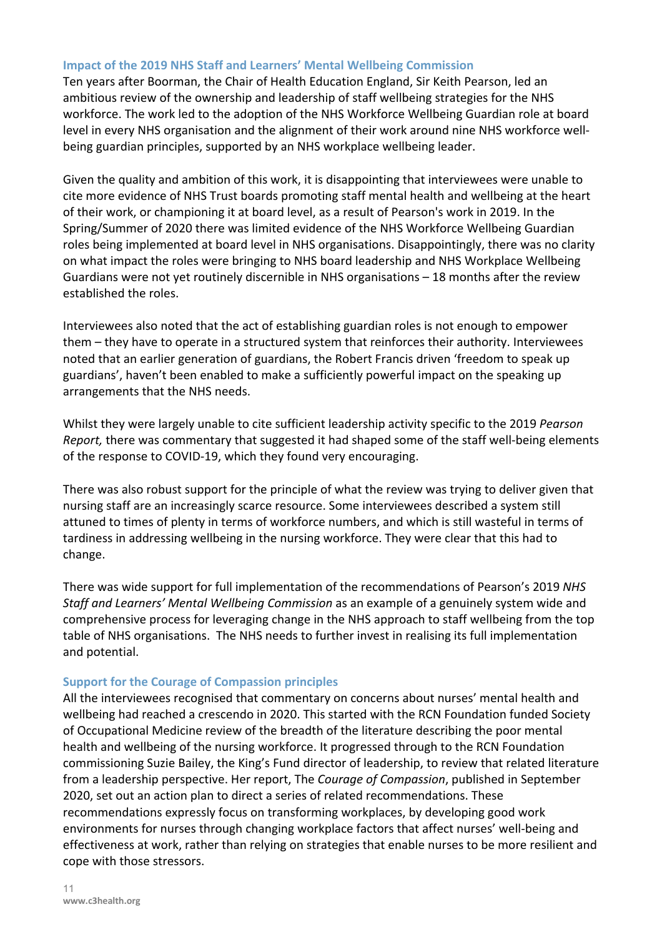#### **Impact of the 2019 NHS Staff and Learners' Mental Wellbeing Commission**

Ten years after Boorman, the Chair of Health Education England, Sir Keith Pearson, led an ambitious review of the ownership and leadership of staff wellbeing strategies for the NHS workforce. The work led to the adoption of the NHS Workforce Wellbeing Guardian role at board level in every NHS organisation and the alignment of their work around nine NHS workforce wellbeing guardian principles, supported by an NHS workplace wellbeing leader.

Given the quality and ambition of this work, it is disappointing that interviewees were unable to cite more evidence of NHS Trust boards promoting staff mental health and wellbeing at the heart of their work, or championing it at board level, as a result of Pearson's work in 2019. In the Spring/Summer of 2020 there was limited evidence of the NHS Workforce Wellbeing Guardian roles being implemented at board level in NHS organisations. Disappointingly, there was no clarity on what impact the roles were bringing to NHS board leadership and NHS Workplace Wellbeing Guardians were not yet routinely discernible in NHS organisations – 18 months after the review established the roles.

Interviewees also noted that the act of establishing guardian roles is not enough to empower them – they have to operate in a structured system that reinforces their authority. Interviewees noted that an earlier generation of guardians, the Robert Francis driven 'freedom to speak up guardians', haven't been enabled to make a sufficiently powerful impact on the speaking up arrangements that the NHS needs.

Whilst they were largely unable to cite sufficient leadership activity specific to the 2019 *Pearson Report,* there was commentary that suggested it had shaped some of the staff well-being elements of the response to COVID-19, which they found very encouraging.

There was also robust support for the principle of what the review was trying to deliver given that nursing staff are an increasingly scarce resource. Some interviewees described a system still attuned to times of plenty in terms of workforce numbers, and which is still wasteful in terms of tardiness in addressing wellbeing in the nursing workforce. They were clear that this had to change.

There was wide support for full implementation of the recommendations of Pearson's 2019 *NHS Staff and Learners' Mental Wellbeing Commission* as an example of a genuinely system wide and comprehensive process for leveraging change in the NHS approach to staff wellbeing from the top table of NHS organisations. The NHS needs to further invest in realising its full implementation and potential.

#### **Support for the Courage of Compassion principles**

All the interviewees recognised that commentary on concerns about nurses' mental health and wellbeing had reached a crescendo in 2020. This started with the RCN Foundation funded Society of Occupational Medicine review of the breadth of the literature describing the poor mental health and wellbeing of the nursing workforce. It progressed through to the RCN Foundation commissioning Suzie Bailey, the King's Fund director of leadership, to review that related literature from a leadership perspective. Her report, The *Courage of Compassion*, published in September 2020, set out an action plan to direct a series of related recommendations. These recommendations expressly focus on transforming workplaces, by developing good work environments for nurses through changing workplace factors that affect nurses' well-being and effectiveness at work, rather than relying on strategies that enable nurses to be more resilient and cope with those stressors.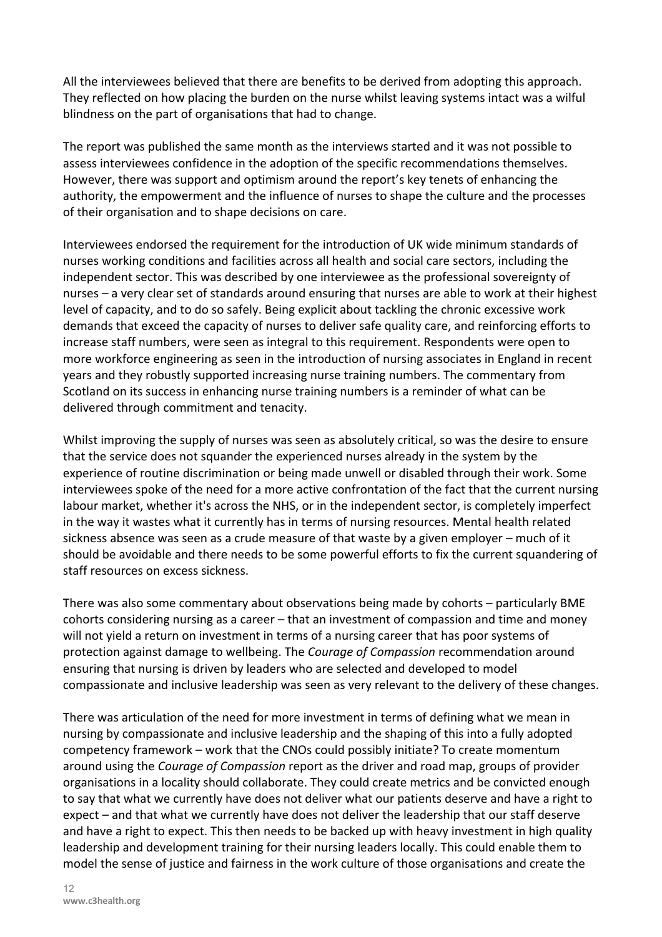All the interviewees believed that there are benefits to be derived from adopting this approach. They reflected on how placing the burden on the nurse whilst leaving systems intact was a wilful blindness on the part of organisations that had to change.

The report was published the same month as the interviews started and it was not possible to assess interviewees confidence in the adoption of the specific recommendations themselves. However, there was support and optimism around the report's key tenets of enhancing the authority, the empowerment and the influence of nurses to shape the culture and the processes of their organisation and to shape decisions on care.

Interviewees endorsed the requirement for the introduction of UK wide minimum standards of nurses working conditions and facilities across all health and social care sectors, including the independent sector. This was described by one interviewee as the professional sovereignty of nurses – a very clear set of standards around ensuring that nurses are able to work at their highest level of capacity, and to do so safely. Being explicit about tackling the chronic excessive work demands that exceed the capacity of nurses to deliver safe quality care, and reinforcing efforts to increase staff numbers, were seen as integral to this requirement. Respondents were open to more workforce engineering as seen in the introduction of nursing associates in England in recent years and they robustly supported increasing nurse training numbers. The commentary from Scotland on its success in enhancing nurse training numbers is a reminder of what can be delivered through commitment and tenacity.

Whilst improving the supply of nurses was seen as absolutely critical, so was the desire to ensure that the service does not squander the experienced nurses already in the system by the experience of routine discrimination or being made unwell or disabled through their work. Some interviewees spoke of the need for a more active confrontation of the fact that the current nursing labour market, whether it's across the NHS, or in the independent sector, is completely imperfect in the way it wastes what it currently has in terms of nursing resources. Mental health related sickness absence was seen as a crude measure of that waste by a given employer – much of it should be avoidable and there needs to be some powerful efforts to fix the current squandering of staff resources on excess sickness.

There was also some commentary about observations being made by cohorts – particularly BME cohorts considering nursing as a career – that an investment of compassion and time and money will not yield a return on investment in terms of a nursing career that has poor systems of protection against damage to wellbeing. The *Courage of Compassion* recommendation around ensuring that nursing is driven by leaders who are selected and developed to model compassionate and inclusive leadership was seen as very relevant to the delivery of these changes.

There was articulation of the need for more investment in terms of defining what we mean in nursing by compassionate and inclusive leadership and the shaping of this into a fully adopted competency framework – work that the CNOs could possibly initiate? To create momentum around using the *Courage of Compassion* report as the driver and road map, groups of provider organisations in a locality should collaborate. They could create metrics and be convicted enough to say that what we currently have does not deliver what our patients deserve and have a right to expect – and that what we currently have does not deliver the leadership that our staff deserve and have a right to expect. This then needs to be backed up with heavy investment in high quality leadership and development training for their nursing leaders locally. This could enable them to model the sense of justice and fairness in the work culture of those organisations and create the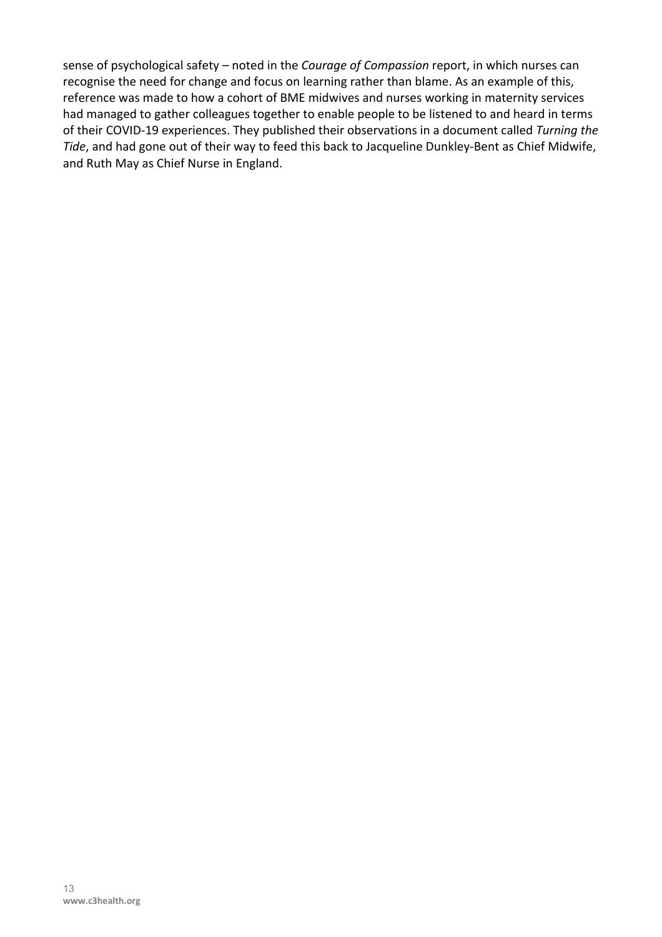sense of psychological safety – noted in the *Courage of Compassion* report, in which nurses can recognise the need for change and focus on learning rather than blame. As an example of this, reference was made to how a cohort of BME midwives and nurses working in maternity services had managed to gather colleagues together to enable people to be listened to and heard in terms of their COVID-19 experiences. They published their observations in a document called *Turning the Tide*, and had gone out of their way to feed this back to Jacqueline Dunkley-Bent as Chief Midwife, and Ruth May as Chief Nurse in England.